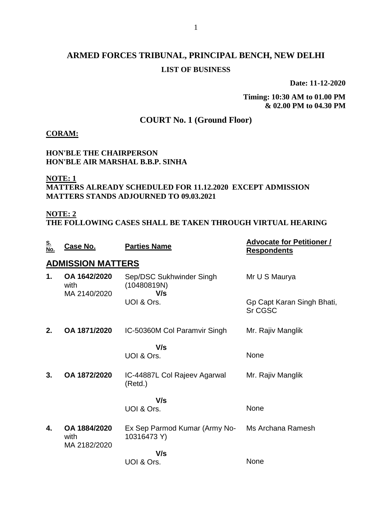## **ARMED FORCES TRIBUNAL, PRINCIPAL BENCH, NEW DELHI LIST OF BUSINESS**

**Date: 11-12-2020**

**Timing: 10:30 AM to 01.00 PM & 02.00 PM to 04.30 PM**

### **COURT No. 1 (Ground Floor)**

#### **CORAM:**

#### **HON'BLE THE CHAIRPERSON HON'BLE AIR MARSHAL B.B.P. SINHA**

## **NOTE: 1**

#### **MATTERS ALREADY SCHEDULED FOR 11.12.2020 EXCEPT ADMISSION MATTERS STANDS ADJOURNED TO 09.03.2021**

#### **NOTE: 2**

**THE FOLLOWING CASES SHALL BE TAKEN THROUGH VIRTUAL HEARING**

| <u>S.</u><br><u>No.</u> | <u>Case No.</u>                      | <b>Parties Name</b>                            | <b>Advocate for Petitioner /</b><br><b>Respondents</b> |
|-------------------------|--------------------------------------|------------------------------------------------|--------------------------------------------------------|
|                         | <b>ADMISSION MATTERS</b>             |                                                |                                                        |
| 1.                      | OA 1642/2020<br>with<br>MA 2140/2020 | Sep/DSC Sukhwinder Singh<br>(10480819N)<br>V/s | Mr U S Maurya                                          |
|                         |                                      | UOI & Ors.                                     | Gp Capt Karan Singh Bhati,<br><b>Sr CGSC</b>           |
| 2.                      | OA 1871/2020                         | IC-50360M Col Paramvir Singh                   | Mr. Rajiv Manglik                                      |
|                         |                                      | V/s                                            |                                                        |
|                         |                                      | UOI & Ors.                                     | None                                                   |
| 3.                      | OA 1872/2020                         | IC-44887L Col Rajeev Agarwal<br>(Retd.)        | Mr. Rajiv Manglik                                      |
|                         |                                      | V/s                                            |                                                        |
|                         |                                      | UOI & Ors.                                     | None                                                   |
| 4.                      | OA 1884/2020<br>with<br>MA 2182/2020 | Ex Sep Parmod Kumar (Army No-<br>10316473 Y)   | Ms Archana Ramesh                                      |
|                         |                                      | V/s                                            |                                                        |
|                         |                                      | UOI & Ors.                                     | None                                                   |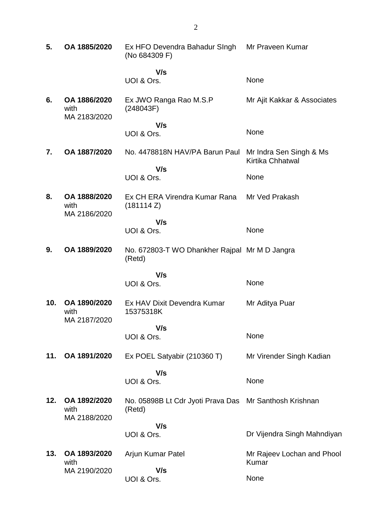| 5.  | OA 1885/2020                         | Ex HFO Devendra Bahadur SIngh<br>(No 684309 F)          | Mr Praveen Kumar                            |
|-----|--------------------------------------|---------------------------------------------------------|---------------------------------------------|
|     |                                      | V/s                                                     |                                             |
|     |                                      | UOI & Ors.                                              | None                                        |
| 6.  | OA 1886/2020<br>with<br>MA 2183/2020 | Ex JWO Ranga Rao M.S.P<br>(248043F)                     | Mr Ajit Kakkar & Associates                 |
|     |                                      | V/s                                                     | None                                        |
|     |                                      | UOI & Ors.                                              |                                             |
| 7.  | OA 1887/2020                         | No. 4478818N HAV/PA Barun Paul                          | Mr Indra Sen Singh & Ms<br>Kirtika Chhatwal |
|     |                                      | V/s<br>UOI & Ors.                                       | None                                        |
|     |                                      |                                                         |                                             |
| 8.  | OA 1888/2020<br>with<br>MA 2186/2020 | Ex CH ERA Virendra Kumar Rana<br>(181114 Z)             | Mr Ved Prakash                              |
|     |                                      | V/s                                                     |                                             |
|     |                                      | UOI & Ors.                                              | None                                        |
| 9.  | OA 1889/2020                         | No. 672803-T WO Dhankher Rajpal Mr M D Jangra<br>(Retd) |                                             |
|     |                                      | V/s                                                     |                                             |
|     |                                      | UOI & Ors.                                              | None                                        |
| 10. | OA 1890/2020<br>with<br>MA 2187/2020 | Ex HAV Dixit Devendra Kumar<br>15375318K                | Mr Aditya Puar                              |
|     |                                      | V/s                                                     |                                             |
|     |                                      | UOI & Ors.                                              | None                                        |
| 11. | OA 1891/2020                         | Ex POEL Satyabir (210360 T)                             | Mr Virender Singh Kadian                    |
|     |                                      | V/s                                                     | None                                        |
|     |                                      | UOI & Ors.                                              |                                             |
| 12. | OA 1892/2020<br>with<br>MA 2188/2020 | No. 05898B Lt Cdr Jyoti Prava Das<br>(Retd)             | Mr Santhosh Krishnan                        |
|     |                                      | V/s                                                     |                                             |
|     |                                      | UOI & Ors.                                              | Dr Vijendra Singh Mahndiyan                 |
| 13. | OA 1893/2020<br>with                 | Arjun Kumar Patel                                       | Mr Rajeev Lochan and Phool<br>Kumar         |
|     | MA 2190/2020                         | V/s                                                     |                                             |
|     |                                      | UOI & Ors.                                              | None                                        |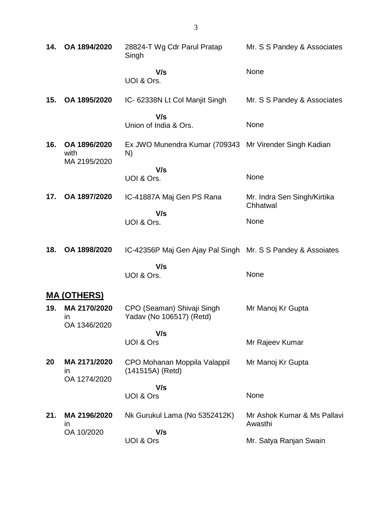| 14. | OA 1894/2020                                 | 28824-T Wg Cdr Parul Pratap<br>Singh                         | Mr. S S Pandey & Associates             |
|-----|----------------------------------------------|--------------------------------------------------------------|-----------------------------------------|
|     |                                              | V/s<br>UOI & Ors.                                            | None                                    |
| 15. | OA 1895/2020                                 | IC- 62338N Lt Col Manjit Singh                               | Mr. S S Pandey & Associates             |
|     |                                              | V/s<br>Union of India & Ors.                                 | None                                    |
| 16. | OA 1896/2020<br>with<br>MA 2195/2020         | Ex JWO Munendra Kumar (709343 Mr Virender Singh Kadian<br>N) |                                         |
|     |                                              | V/s<br>UOI & Ors.                                            | None                                    |
| 17. | OA 1897/2020                                 | IC-41887A Maj Gen PS Rana                                    | Mr. Indra Sen Singh/Kirtika<br>Chhatwal |
|     |                                              | V/s<br>UOI & Ors.                                            | None                                    |
| 18. | OA 1898/2020                                 | IC-42356P Maj Gen Ajay Pal Singh Mr. S S Pandey & Assoiates  |                                         |
|     |                                              | V/s<br>UOI & Ors.                                            | None                                    |
|     | <b>MA (OTHERS)</b>                           |                                                              |                                         |
| 19. | MA 2170/2020<br>in<br>OA 1346/2020           | CPO (Seaman) Shivaji Singh<br>Yadav (No 106517) (Retd)       | Mr Manoj Kr Gupta                       |
|     |                                              | V/s<br>UOI & Ors                                             | Mr Rajeev Kumar                         |
| 20  | MA 2171/2020<br>$\mathsf{I}$<br>OA 1274/2020 | CPO Mohanan Moppila Valappil<br>(141515A) (Retd)             | Mr Manoj Kr Gupta                       |
|     |                                              | V/s<br><b>UOI &amp; Ors</b>                                  | None                                    |
| 21. | MA 2196/2020<br>in                           | Nk Gurukul Lama (No 5352412K)                                | Mr Ashok Kumar & Ms Pallavi<br>Awasthi  |
|     | OA 10/2020                                   | V/s<br>UOI & Ors                                             | Mr. Satya Ranjan Swain                  |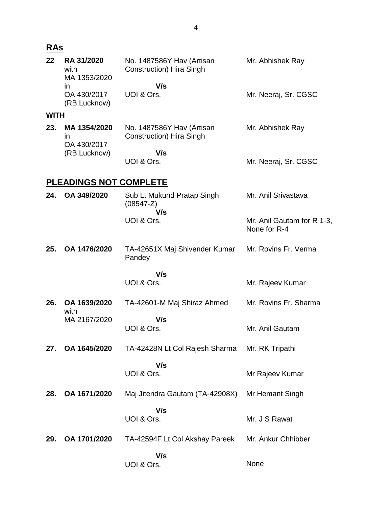| 22          | RA 31/2020<br>with<br>MA 1353/2020          | No. 1487586Y Hav (Artisan<br>Construction) Hira Singh | Mr. Abhishek Ray                           |
|-------------|---------------------------------------------|-------------------------------------------------------|--------------------------------------------|
|             | ın<br>OA 430/2017<br>(RB, Lucknow)          | V/s<br>UOI & Ors.                                     | Mr. Neeraj, Sr. CGSC                       |
| <b>WITH</b> |                                             |                                                       |                                            |
| 23.         | MA 1354/2020<br>$\mathsf{I}$<br>OA 430/2017 | No. 1487586Y Hav (Artisan<br>Construction) Hira Singh | Mr. Abhishek Ray                           |
|             | (RB, Lucknow)                               | V/s<br>UOI & Ors.                                     | Mr. Neeraj, Sr. CGSC                       |
|             | <b>PLEADINGS NOT COMPLETE</b>               |                                                       |                                            |
| 24.         | OA 349/2020                                 | Sub Lt Mukund Pratap Singh<br>$(08547-Z)$             | Mr. Anil Srivastava                        |
|             |                                             | V/s<br>UOI & Ors.                                     | Mr. Anil Gautam for R 1-3,<br>None for R-4 |
| 25.         | OA 1476/2020                                | TA-42651X Maj Shivender Kumar<br>Pandey               | Mr. Rovins Fr. Verma                       |
|             |                                             | V/s<br>UOI & Ors.                                     | Mr. Rajeev Kumar                           |
| 26.         | OA 1639/2020<br>with                        | TA-42601-M Maj Shiraz Ahmed                           | Mr. Rovins Fr. Sharma                      |
|             | MA 2167/2020                                | V/s<br>UOI & Ors.                                     | Mr. Anil Gautam                            |
| 27.         | OA 1645/2020                                | TA-42428N Lt Col Rajesh Sharma                        | Mr. RK Tripathi                            |
|             |                                             | V/s                                                   |                                            |
|             |                                             | UOI & Ors.                                            | Mr Rajeev Kumar                            |
| 28.         | OA 1671/2020                                | Maj Jitendra Gautam (TA-42908X)                       | Mr Hemant Singh                            |
|             |                                             | V/s<br>UOI & Ors.                                     | Mr. J S Rawat                              |
| 29.         | OA 1701/2020                                | TA-42594F Lt Col Akshay Pareek                        | Mr. Ankur Chhibber                         |
|             |                                             | V/s<br>UOI & Ors.                                     | None                                       |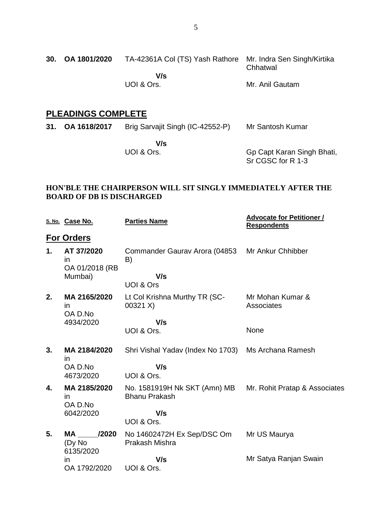## **PLEADINGS COMPLETE**

| 31. OA 1618/2017 | Brig Sarvajit Singh (IC-42552-P) | Mr Santosh Kumar |  |
|------------------|----------------------------------|------------------|--|
|                  |                                  |                  |  |

 **V/s** UOI & Ors.

Gp Capt Karan Singh Bhati, Sr CGSC for R 1-3

#### **HON'BLE THE CHAIRPERSON WILL SIT SINGLY IMMEDIATELY AFTER THE BOARD OF DB IS DISCHARGED**

|    | S. No. Case No.                           | <b>Parties Name</b>                                                                | <b>Advocate for Petitioner /</b><br><b>Respondents</b> |
|----|-------------------------------------------|------------------------------------------------------------------------------------|--------------------------------------------------------|
|    | <u>For Orders</u>                         |                                                                                    |                                                        |
| 1. | AT 37/2020<br><i>in</i><br>OA 01/2018 (RB | Commander Gaurav Arora (04853<br>B)                                                | Mr Ankur Chhibber                                      |
|    | Mumbai)                                   | V/s                                                                                |                                                        |
|    |                                           | UOI & Ors                                                                          |                                                        |
| 2. | MA 2165/2020<br>in<br>OA D.No             | Lt Col Krishna Murthy TR (SC-<br>00321 X)                                          | Mr Mohan Kumar &<br>Associates                         |
|    | 4934/2020                                 | V/s                                                                                |                                                        |
|    |                                           | UOI & Ors.                                                                         | None                                                   |
| 3. | MA 2184/2020<br><i>in</i>                 | Shri Vishal Yadav (Index No 1703)                                                  | Ms Archana Ramesh                                      |
|    | OA D.No                                   | V/s                                                                                |                                                        |
|    | 4673/2020                                 | UOI & Ors.                                                                         |                                                        |
| 4. | MA 2185/2020<br>in.<br>OA D.No            | No. 1581919H Nk SKT (Amn) MB Mr. Rohit Pratap & Associates<br><b>Bhanu Prakash</b> |                                                        |
|    | 6042/2020                                 | V/s                                                                                |                                                        |
|    |                                           | UOI & Ors.                                                                         |                                                        |
| 5. | MA /2020<br>(Dy No                        | No 14602472H Ex Sep/DSC Om<br>Prakash Mishra                                       | Mr US Maurya                                           |
|    | 6135/2020<br>in                           | V/s                                                                                | Mr Satya Ranjan Swain                                  |
|    | OA 1792/2020                              | UOI & Ors.                                                                         |                                                        |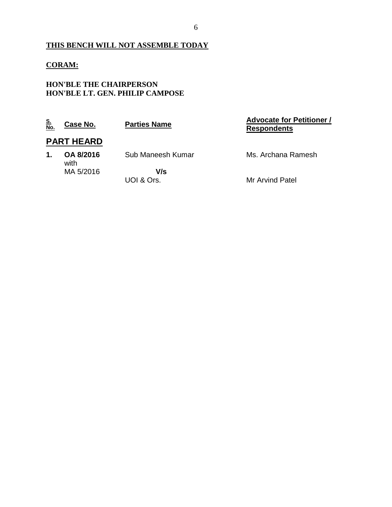### **THIS BENCH WILL NOT ASSEMBLE TODAY**

#### **CORAM:**

#### **HON'BLE THE CHAIRPERSON HON'BLE LT. GEN. PHILIP CAMPOSE**

| <u>S.<br/>No.</u> | Case No.          | <b>Parties Name</b> | <b>Advocate for Petitioner /</b><br><b>Respondents</b> |
|-------------------|-------------------|---------------------|--------------------------------------------------------|
|                   | <b>PART HEARD</b> |                     |                                                        |
| 1.                | OA 8/2016<br>with | Sub Maneesh Kumar   | Ms. Archana Ramesh                                     |
|                   | MA 5/2016         | V/s<br>UOI & Ors.   | Mr Arvind Patel                                        |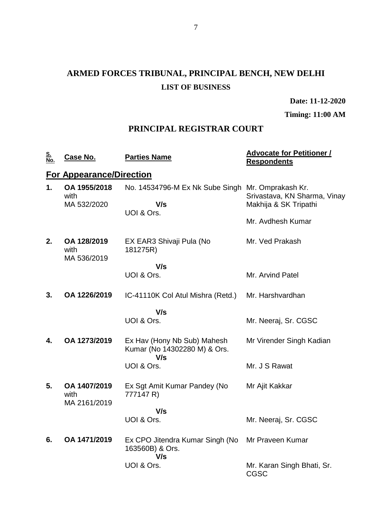# **ARMED FORCES TRIBUNAL, PRINCIPAL BENCH, NEW DELHI LIST OF BUSINESS**

**Date: 11-12-2020**

**Timing: 11:00 AM**

## **PRINCIPAL REGISTRAR COURT**

| <u>S.<br/>No.</u> | <u>Case No.</u>                      | <b>Parties Name</b>                                                    | <b>Advocate for Petitioner /</b><br><b>Respondents</b> |
|-------------------|--------------------------------------|------------------------------------------------------------------------|--------------------------------------------------------|
|                   | <b>For Appearance/Direction</b>      |                                                                        |                                                        |
| 1.                | OA 1955/2018<br>with<br>MA 532/2020  | No. 14534796-M Ex Nk Sube Singh Mr. Omprakash Kr.<br>V/s<br>UOI & Ors. | Srivastava, KN Sharma, Vinay<br>Makhija & SK Tripathi  |
|                   |                                      |                                                                        | Mr. Avdhesh Kumar                                      |
| 2.                | OA 128/2019<br>with<br>MA 536/2019   | EX EAR3 Shivaji Pula (No<br>181275R)                                   | Mr. Ved Prakash                                        |
|                   |                                      | V/s<br>UOI & Ors.                                                      | Mr. Arvind Patel                                       |
| 3.                | OA 1226/2019                         | IC-41110K Col Atul Mishra (Retd.)                                      | Mr. Harshvardhan                                       |
|                   |                                      | V/s                                                                    |                                                        |
|                   |                                      | UOI & Ors.                                                             | Mr. Neeraj, Sr. CGSC                                   |
| 4.                | OA 1273/2019                         | Ex Hav (Hony Nb Sub) Mahesh<br>Kumar (No 14302280 M) & Ors.<br>V/s     | Mr Virender Singh Kadian                               |
|                   |                                      | UOI & Ors.                                                             | Mr. J S Rawat                                          |
| 5.                | OA 1407/2019<br>with<br>MA 2161/2019 | Ex Sgt Amit Kumar Pandey (No<br>777147 R)                              | Mr Ajit Kakkar                                         |
|                   |                                      | V/s<br>UOI & Ors.                                                      | Mr. Neeraj, Sr. CGSC                                   |
| 6.                | OA 1471/2019                         | Ex CPO Jitendra Kumar Singh (No<br>163560B) & Ors.<br>V/s              | Mr Praveen Kumar                                       |
|                   |                                      | UOI & Ors.                                                             | Mr. Karan Singh Bhati, Sr.<br><b>CGSC</b>              |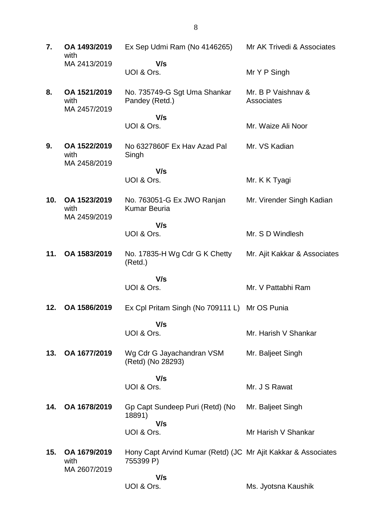| 7.  | OA 1493/2019<br>with                 | Ex Sep Udmi Ram (No 4146265)                                               | Mr AK Trivedi & Associates       |
|-----|--------------------------------------|----------------------------------------------------------------------------|----------------------------------|
|     | MA 2413/2019                         | V/s<br>UOI & Ors.                                                          | Mr Y P Singh                     |
| 8.  | OA 1521/2019<br>with<br>MA 2457/2019 | No. 735749-G Sgt Uma Shankar<br>Pandey (Retd.)                             | Mr. B P Vaishnav &<br>Associates |
|     |                                      | V/s<br>UOI & Ors.                                                          | Mr. Waize Ali Noor               |
| 9.  | OA 1522/2019<br>with<br>MA 2458/2019 | No 6327860F Ex Hav Azad Pal<br>Singh                                       | Mr. VS Kadian                    |
|     |                                      | V/s<br>UOI & Ors.                                                          | Mr. K K Tyagi                    |
| 10. | OA 1523/2019<br>with<br>MA 2459/2019 | No. 763051-G Ex JWO Ranjan<br><b>Kumar Beuria</b>                          | Mr. Virender Singh Kadian        |
|     |                                      | V/s<br>UOI & Ors.                                                          | Mr. S D Windlesh                 |
| 11. | OA 1583/2019                         | No. 17835-H Wg Cdr G K Chetty<br>(Retd.)                                   | Mr. Ajit Kakkar & Associates     |
|     |                                      | V/s                                                                        |                                  |
|     |                                      | UOI & Ors.                                                                 | Mr. V Pattabhi Ram               |
| 12. | OA 1586/2019                         | Ex Cpl Pritam Singh (No 709111 L) Mr OS Punia                              |                                  |
|     |                                      | V/s<br>UOI & Ors.                                                          | Mr. Harish V Shankar             |
| 13. | OA 1677/2019                         | Wg Cdr G Jayachandran VSM<br>(Retd) (No 28293)                             | Mr. Baljeet Singh                |
|     |                                      | V/s                                                                        |                                  |
|     |                                      | UOI & Ors.                                                                 | Mr. J S Rawat                    |
| 14. | OA 1678/2019                         | Gp Capt Sundeep Puri (Retd) (No<br>18891)<br>V/s                           | Mr. Baljeet Singh                |
|     |                                      | UOI & Ors.                                                                 | Mr Harish V Shankar              |
| 15. | OA 1679/2019<br>with<br>MA 2607/2019 | Hony Capt Arvind Kumar (Retd) (JC Mr Ajit Kakkar & Associates<br>755399 P) |                                  |
|     |                                      | V/s<br>UOI & Ors.                                                          | Ms. Jyotsna Kaushik              |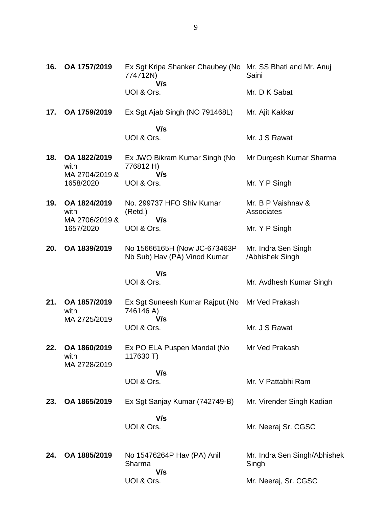| 16. | OA 1757/2019                           | Ex Sgt Kripa Shanker Chaubey (No Mr. SS Bhati and Mr. Anuj<br>774712N)<br>V/s | Saini                                  |
|-----|----------------------------------------|-------------------------------------------------------------------------------|----------------------------------------|
|     |                                        | UOI & Ors.                                                                    | Mr. D K Sabat                          |
| 17. | OA 1759/2019                           | Ex Sgt Ajab Singh (NO 791468L)                                                | Mr. Ajit Kakkar                        |
|     |                                        | V/s<br>UOI & Ors.                                                             | Mr. J S Rawat                          |
| 18. | OA 1822/2019<br>with<br>MA 2704/2019 & | Ex JWO Bikram Kumar Singh (No<br>776812 H)<br>V/s                             | Mr Durgesh Kumar Sharma                |
|     | 1658/2020                              | UOI & Ors.                                                                    | Mr. Y P Singh                          |
| 19. | OA 1824/2019<br>with<br>MA 2706/2019 & | No. 299737 HFO Shiv Kumar<br>(Retd.)<br>V/s                                   | Mr. B P Vaishnav &<br>Associates       |
|     | 1657/2020                              | UOI & Ors.                                                                    | Mr. Y P Singh                          |
| 20. | OA 1839/2019                           | No 15666165H (Now JC-673463P)<br>Nb Sub) Hav (PA) Vinod Kumar                 | Mr. Indra Sen Singh<br>/Abhishek Singh |
|     |                                        | V/s                                                                           |                                        |
|     |                                        | UOI & Ors.                                                                    | Mr. Avdhesh Kumar Singh                |
| 21. | OA 1857/2019<br>with<br>MA 2725/2019   | Ex Sgt Suneesh Kumar Rajput (No<br>746146 A)<br>V/s                           | Mr Ved Prakash                         |
|     |                                        | UOI & Ors.                                                                    | Mr. J S Rawat                          |
| 22. | OA 1860/2019<br>with<br>MA 2728/2019   | Ex PO ELA Puspen Mandal (No<br>117630 T)                                      | Mr Ved Prakash                         |
|     |                                        | V/s<br>UOI & Ors.                                                             | Mr. V Pattabhi Ram                     |
| 23. | OA 1865/2019                           | Ex Sgt Sanjay Kumar (742749-B)                                                | Mr. Virender Singh Kadian              |
|     |                                        | V/s<br>UOI & Ors.                                                             | Mr. Neeraj Sr. CGSC                    |
| 24. | OA 1885/2019                           | No 15476264P Hav (PA) Anil<br>Sharma<br>V/s                                   | Mr. Indra Sen Singh/Abhishek<br>Singh  |
|     |                                        | UOI & Ors.                                                                    | Mr. Neeraj, Sr. CGSC                   |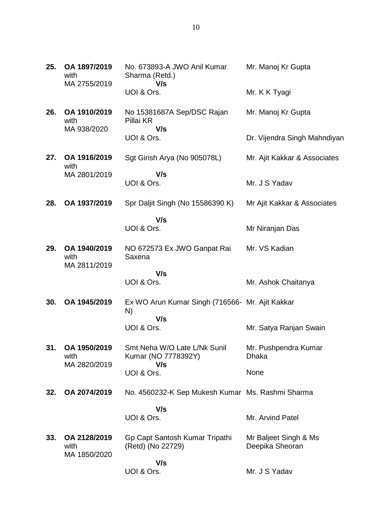| 25. | OA 1897/2019<br>with<br>MA 2755/2019 | No. 673893-A JWO Anil Kumar<br>Sharma (Retd.)<br>V/s         | Mr. Manoj Kr Gupta                       |
|-----|--------------------------------------|--------------------------------------------------------------|------------------------------------------|
|     |                                      | UOI & Ors.                                                   | Mr. K K Tyagi                            |
| 26. | OA 1910/2019<br>with<br>MA 938/2020  | No 15381687A Sep/DSC Rajan<br>Pillai KR<br>V/s               | Mr. Manoj Kr Gupta                       |
|     |                                      | UOI & Ors.                                                   | Dr. Vijendra Singh Mahndiyan             |
| 27. | OA 1916/2019<br>with                 | Sgt Girish Arya (No 905078L)                                 | Mr. Ajit Kakkar & Associates             |
|     | MA 2801/2019                         | V/s<br>UOI & Ors.                                            | Mr. J S Yadav                            |
| 28. | OA 1937/2019                         | Spr Daljit Singh (No 15586390 K)                             | Mr Ajit Kakkar & Associates              |
|     |                                      | V/s<br>UOI & Ors.                                            | Mr Niranjan Das                          |
| 29. | OA 1940/2019<br>with<br>MA 2811/2019 | NO 672573 Ex JWO Ganpat Rai<br>Saxena                        | Mr. VS Kadian                            |
|     |                                      | V/s<br>UOI & Ors.                                            | Mr. Ashok Chaitanya                      |
| 30. | OA 1945/2019                         | Ex WO Arun Kumar Singh (716566- Mr. Ajit Kakkar<br>N)<br>V/s |                                          |
|     |                                      | UOI & Ors.                                                   | Mr. Satya Ranjan Swain                   |
| 31. | OA 1950/2019<br>with<br>MA 2820/2019 | Smt Neha W/O Late L/Nk Sunil<br>Kumar (NO 7778392Y)<br>V/s   | Mr. Pushpendra Kumar<br>Dhaka            |
|     |                                      | UOI & Ors.                                                   | None                                     |
| 32. | OA 2074/2019                         | No. 4560232-K Sep Mukesh Kumar Ms. Rashmi Sharma             |                                          |
|     |                                      | V/s<br>UOI & Ors.                                            | Mr. Arvind Patel                         |
| 33. | OA 2128/2019<br>with<br>MA 1850/2020 | Gp Capt Santosh Kumar Tripathi<br>(Retd) (No 22729)          | Mr Baljeet Singh & Ms<br>Deepika Sheoran |
|     |                                      | V/s<br>UOI & Ors.                                            | Mr. J S Yadav                            |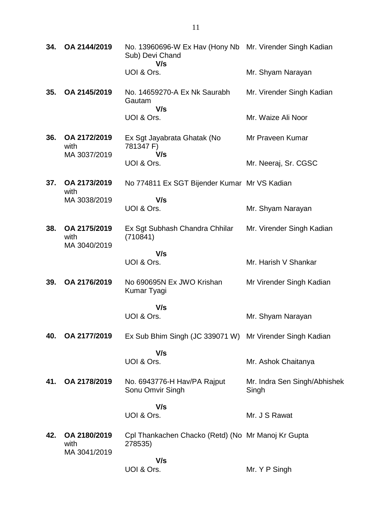| 34. | OA 2144/2019                         | No. 13960696-W Ex Hav (Hony Nb Mr. Virender Singh Kadian<br>Sub) Devi Chand<br>V/s |                                       |
|-----|--------------------------------------|------------------------------------------------------------------------------------|---------------------------------------|
|     |                                      | UOI & Ors.                                                                         | Mr. Shyam Narayan                     |
| 35. | OA 2145/2019                         | No. 14659270-A Ex Nk Saurabh<br>Gautam<br>V/s                                      | Mr. Virender Singh Kadian             |
|     |                                      | UOI & Ors.                                                                         | Mr. Waize Ali Noor                    |
| 36. | OA 2172/2019<br>with<br>MA 3037/2019 | Ex Sgt Jayabrata Ghatak (No<br>781347 F)<br>V/s                                    | Mr Praveen Kumar                      |
|     |                                      | UOI & Ors.                                                                         | Mr. Neeraj, Sr. CGSC                  |
| 37. | OA 2173/2019<br>with                 | No 774811 Ex SGT Bijender Kumar Mr VS Kadian                                       |                                       |
|     | MA 3038/2019                         | V/s<br>UOI & Ors.                                                                  | Mr. Shyam Narayan                     |
| 38. | OA 2175/2019<br>with<br>MA 3040/2019 | Ex Sgt Subhash Chandra Chhilar<br>(710841)                                         | Mr. Virender Singh Kadian             |
|     |                                      | V/s<br>UOI & Ors.                                                                  | Mr. Harish V Shankar                  |
| 39. | OA 2176/2019                         | No 690695N Ex JWO Krishan<br>Kumar Tyagi                                           | Mr Virender Singh Kadian              |
|     |                                      | V/s<br>UOI & Ors.                                                                  | Mr. Shyam Narayan                     |
|     |                                      |                                                                                    |                                       |
| 40. | OA 2177/2019                         | Ex Sub Bhim Singh (JC 339071 W) Mr Virender Singh Kadian                           |                                       |
|     |                                      | V/s<br>UOI & Ors.                                                                  | Mr. Ashok Chaitanya                   |
| 41. | OA 2178/2019                         | No. 6943776-H Hav/PA Rajput<br>Sonu Omvir Singh                                    | Mr. Indra Sen Singh/Abhishek<br>Singh |
|     |                                      | V/s<br>UOI & Ors.                                                                  | Mr. J S Rawat                         |
| 42. | OA 2180/2019<br>with<br>MA 3041/2019 | Cpl Thankachen Chacko (Retd) (No Mr Manoj Kr Gupta<br>278535)                      |                                       |
|     |                                      | V/s<br>UOI & Ors.                                                                  | Mr. Y P Singh                         |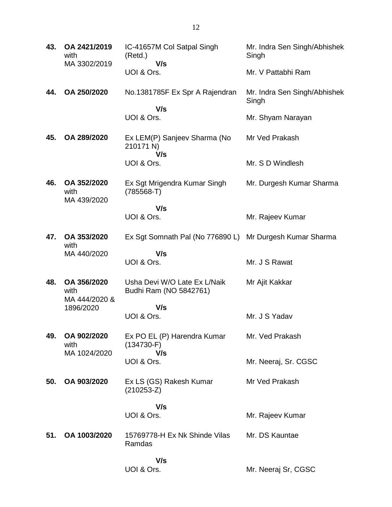| 43. | OA 2421/2019<br>with<br>MA 3302/2019              | IC-41657M Col Satpal Singh<br>(Retd.)<br>V/s             | Mr. Indra Sen Singh/Abhishek<br>Singh |
|-----|---------------------------------------------------|----------------------------------------------------------|---------------------------------------|
|     |                                                   | UOI & Ors.                                               | Mr. V Pattabhi Ram                    |
| 44. | OA 250/2020                                       | No.1381785F Ex Spr A Rajendran                           | Mr. Indra Sen Singh/Abhishek<br>Singh |
|     |                                                   | V/s<br>UOI & Ors.                                        | Mr. Shyam Narayan                     |
| 45. | OA 289/2020                                       | Ex LEM(P) Sanjeev Sharma (No<br>210171 N)<br>V/s         | Mr Ved Prakash                        |
|     |                                                   | UOI & Ors.                                               | Mr. S D Windlesh                      |
| 46. | OA 352/2020<br>with<br>MA 439/2020                | Ex Sgt Mrigendra Kumar Singh<br>$(785568-T)$             | Mr. Durgesh Kumar Sharma              |
|     |                                                   | V/s<br>UOI & Ors.                                        | Mr. Rajeev Kumar                      |
| 47. | OA 353/2020<br>with<br>MA 440/2020                | Ex Sgt Somnath Pal (No 776890 L) Mr Durgesh Kumar Sharma |                                       |
|     |                                                   | V/s<br>UOI & Ors.                                        | Mr. J S Rawat                         |
| 48. | OA 356/2020<br>with<br>MA 444/2020 &<br>1896/2020 | Usha Devi W/O Late Ex L/Naik<br>Budhi Ram (NO 5842761)   | Mr Ajit Kakkar                        |
|     |                                                   | V/s<br>UOI & Ors.                                        | Mr. J S Yadav                         |
|     |                                                   |                                                          |                                       |
| 49. | OA 902/2020<br>with<br>MA 1024/2020               | Ex PO EL (P) Harendra Kumar<br>$(134730-F)$              | Mr. Ved Prakash                       |
|     |                                                   | V/s<br>UOI & Ors.                                        | Mr. Neeraj, Sr. CGSC                  |
| 50. | OA 903/2020                                       | Ex LS (GS) Rakesh Kumar<br>$(210253-Z)$                  | Mr Ved Prakash                        |
|     |                                                   | V/s<br>UOI & Ors.                                        | Mr. Rajeev Kumar                      |
| 51. | OA 1003/2020                                      | 15769778-H Ex Nk Shinde Vilas<br>Ramdas                  | Mr. DS Kauntae                        |
|     |                                                   | V/s<br>UOI & Ors.                                        | Mr. Neeraj Sr, CGSC                   |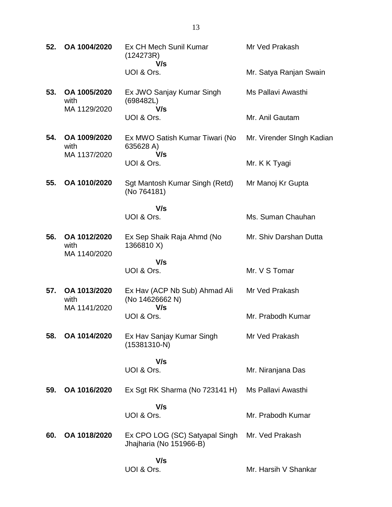| 52. | OA 1004/2020                         | Ex CH Mech Sunil Kumar<br>(124273R)<br>V/s                | Mr Ved Prakash            |
|-----|--------------------------------------|-----------------------------------------------------------|---------------------------|
|     |                                      | UOI & Ors.                                                | Mr. Satya Ranjan Swain    |
| 53. | OA 1005/2020<br>with<br>MA 1129/2020 | Ex JWO Sanjay Kumar Singh<br>(698482L)<br>V/s             | Ms Pallavi Awasthi        |
|     |                                      | UOI & Ors.                                                | Mr. Anil Gautam           |
| 54. | OA 1009/2020<br>with<br>MA 1137/2020 | Ex MWO Satish Kumar Tiwari (No<br>635628 A)<br>V/s        | Mr. Virender SIngh Kadian |
|     |                                      | UOI & Ors.                                                | Mr. K K Tyagi             |
| 55. | OA 1010/2020                         | Sgt Mantosh Kumar Singh (Retd)<br>(No 764181)             | Mr Manoj Kr Gupta         |
|     |                                      | V/s<br>UOI & Ors.                                         | Ms. Suman Chauhan         |
|     |                                      |                                                           |                           |
| 56. | OA 1012/2020<br>with<br>MA 1140/2020 | Ex Sep Shaik Raja Ahmd (No<br>1366810 X)                  | Mr. Shiv Darshan Dutta    |
|     |                                      | V/s<br>UOI & Ors.                                         | Mr. V S Tomar             |
| 57. | OA 1013/2020<br>with<br>MA 1141/2020 | Ex Hav (ACP Nb Sub) Ahmad Ali<br>(No 14626662 N)<br>V/s   | Mr Ved Prakash            |
|     |                                      | UOI & Ors.                                                | Mr. Prabodh Kumar         |
| 58. | OA 1014/2020                         | Ex Hav Sanjay Kumar Singh<br>$(15381310-N)$               | Mr Ved Prakash            |
|     |                                      | V/s                                                       |                           |
|     |                                      | UOI & Ors.                                                | Mr. Niranjana Das         |
| 59. | OA 1016/2020                         | Ex Sgt RK Sharma (No 723141 H)                            | Ms Pallavi Awasthi        |
|     |                                      | V/s<br>UOI & Ors.                                         | Mr. Prabodh Kumar         |
| 60. | OA 1018/2020                         | Ex CPO LOG (SC) Satyapal Singh<br>Jhajharia (No 151966-B) | Mr. Ved Prakash           |
|     |                                      | V/s<br>UOI & Ors.                                         | Mr. Harsih V Shankar      |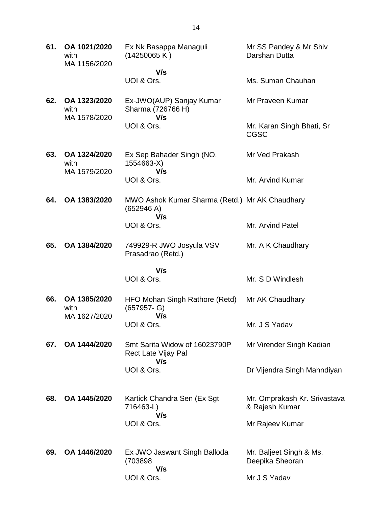| 61. | OA 1021/2020<br>with<br>MA 1156/2020 | Ex Nk Basappa Managuli<br>(14250065 K)                              | Mr SS Pandey & Mr Shiv<br>Darshan Dutta        |
|-----|--------------------------------------|---------------------------------------------------------------------|------------------------------------------------|
|     |                                      | V/s                                                                 |                                                |
|     |                                      | UOI & Ors.                                                          | Ms. Suman Chauhan                              |
| 62. | OA 1323/2020<br>with<br>MA 1578/2020 | Ex-JWO(AUP) Sanjay Kumar<br>Sharma (726766 H)<br>V/s                | Mr Praveen Kumar                               |
|     |                                      | UOI & Ors.                                                          | Mr. Karan Singh Bhati, Sr<br><b>CGSC</b>       |
| 63. | OA 1324/2020<br>with<br>MA 1579/2020 | Ex Sep Bahader Singh (NO.<br>1554663-X)<br>V/s                      | Mr Ved Prakash                                 |
|     |                                      | UOI & Ors.                                                          | Mr. Arvind Kumar                               |
| 64. | OA 1383/2020                         | MWO Ashok Kumar Sharma (Retd.) Mr AK Chaudhary<br>(652946 A)<br>V/s |                                                |
|     |                                      | UOI & Ors.                                                          | Mr. Arvind Patel                               |
| 65. | OA 1384/2020                         | 749929-R JWO Josyula VSV<br>Prasadrao (Retd.)                       | Mr. A K Chaudhary                              |
|     |                                      | V/s                                                                 |                                                |
|     |                                      | UOI & Ors.                                                          | Mr. S D Windlesh                               |
| 66. | OA 1385/2020<br>with<br>MA 1627/2020 | HFO Mohan Singh Rathore (Retd)<br>$(657957 - G)$                    | Mr AK Chaudhary                                |
|     |                                      | V/s<br>UOI & Ors.                                                   | Mr. J S Yadav                                  |
| 67. | OA 1444/2020                         | Smt Sarita Widow of 16023790P<br>Rect Late Vijay Pal<br>V/s         | Mr Virender Singh Kadian                       |
|     |                                      | UOI & Ors.                                                          | Dr Vijendra Singh Mahndiyan                    |
| 68. | OA 1445/2020                         | Kartick Chandra Sen (Ex Sgt<br>716463-L)<br>V/s                     | Mr. Omprakash Kr. Srivastava<br>& Rajesh Kumar |
|     |                                      | UOI & Ors.                                                          | Mr Rajeev Kumar                                |
| 69. | OA 1446/2020                         | Ex JWO Jaswant Singh Balloda<br>(703898<br>V/s                      | Mr. Baljeet Singh & Ms.<br>Deepika Sheoran     |
|     |                                      | UOI & Ors.                                                          | Mr J S Yadav                                   |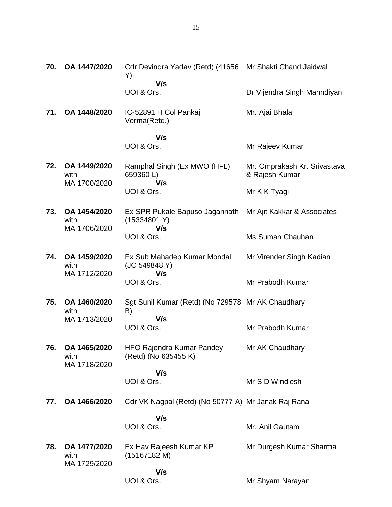| 70. | OA 1447/2020                         | Cdr Devindra Yadav (Retd) (41656 Mr Shakti Chand Jaidwal<br>Y) |                                                |
|-----|--------------------------------------|----------------------------------------------------------------|------------------------------------------------|
|     |                                      | V/s<br>UOI & Ors.                                              | Dr Vijendra Singh Mahndiyan                    |
| 71. | OA 1448/2020                         | IC-52891 H Col Pankaj<br>Verma(Retd.)                          | Mr. Ajai Bhala                                 |
|     |                                      | V/s                                                            |                                                |
|     |                                      | UOI & Ors.                                                     | Mr Rajeev Kumar                                |
| 72. | OA 1449/2020<br>with<br>MA 1700/2020 | Ramphal Singh (Ex MWO (HFL)<br>659360-L)<br>V/s                | Mr. Omprakash Kr. Srivastava<br>& Rajesh Kumar |
|     |                                      | UOI & Ors.                                                     | Mr K K Tyagi                                   |
| 73. | OA 1454/2020<br>with<br>MA 1706/2020 | Ex SPR Pukale Bapuso Jagannath<br>(15334801 Y)<br>V/s          | Mr Ajit Kakkar & Associates                    |
|     |                                      | UOI & Ors.                                                     | Ms Suman Chauhan                               |
| 74. | OA 1459/2020<br>with<br>MA 1712/2020 | Ex Sub Mahadeb Kumar Mondal<br>(JC 549848 Y)<br>V/s            | Mr Virender Singh Kadian                       |
|     |                                      | UOI & Ors.                                                     | Mr Prabodh Kumar                               |
| 75. | OA 1460/2020<br>with                 | Sgt Sunil Kumar (Retd) (No 729578 Mr AK Chaudhary<br>B)<br>V/s |                                                |
|     | MA 1713/2020                         | UOI & Ors.                                                     | Mr Prabodh Kumar                               |
| 76. | OA 1465/2020<br>with<br>MA 1718/2020 | <b>HFO Rajendra Kumar Pandey</b><br>(Retd) (No 635455 K)       | Mr AK Chaudhary                                |
|     |                                      | V/s<br>UOI & Ors.                                              | Mr S D Windlesh                                |
| 77. | OA 1466/2020                         | Cdr VK Nagpal (Retd) (No 50777 A) Mr Janak Raj Rana            |                                                |
|     |                                      |                                                                |                                                |
|     |                                      | V/s<br>UOI & Ors.                                              | Mr. Anil Gautam                                |
| 78. | OA 1477/2020<br>with<br>MA 1729/2020 | Ex Hav Rajeesh Kumar KP<br>(15167182 M)                        | Mr Durgesh Kumar Sharma                        |
|     |                                      | V/s<br>UOI & Ors.                                              | Mr Shyam Narayan                               |
|     |                                      |                                                                |                                                |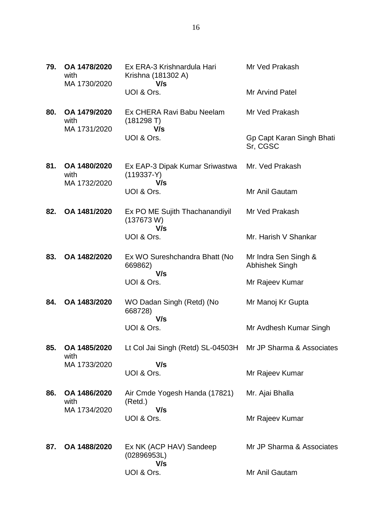| 79. | OA 1478/2020<br>with<br>MA 1730/2020 | Ex ERA-3 Krishnardula Hari<br>Krishna (181302 A)<br>V/s     | Mr Ved Prakash                         |
|-----|--------------------------------------|-------------------------------------------------------------|----------------------------------------|
|     |                                      | UOI & Ors.                                                  | <b>Mr Arvind Patel</b>                 |
| 80. | OA 1479/2020<br>with<br>MA 1731/2020 | Ex CHERA Ravi Babu Neelam<br>(181298 T)<br>V/s              | Mr Ved Prakash                         |
|     |                                      | UOI & Ors.                                                  | Gp Capt Karan Singh Bhati<br>Sr, CGSC  |
| 81. | OA 1480/2020<br>with<br>MA 1732/2020 | Ex EAP-3 Dipak Kumar Sriwastwa<br>$(119337-Y)$<br>V/s       | Mr. Ved Prakash                        |
|     |                                      | UOI & Ors.                                                  | Mr Anil Gautam                         |
| 82. | OA 1481/2020                         | Ex PO ME Sujith Thachanandiyil<br>(137673 W)<br>V/s         | Mr Ved Prakash                         |
|     |                                      | UOI & Ors.                                                  | Mr. Harish V Shankar                   |
| 83. | OA 1482/2020                         | Ex WO Sureshchandra Bhatt (No<br>669862)<br>V/s             | Mr Indra Sen Singh &<br>Abhishek Singh |
|     |                                      | UOI & Ors.                                                  | Mr Rajeev Kumar                        |
| 84. | OA 1483/2020                         | WO Dadan Singh (Retd) (No<br>668728)<br>V/s                 | Mr Manoj Kr Gupta                      |
|     |                                      | UOI & Ors.                                                  | Mr Avdhesh Kumar Singh                 |
| 85. | OA 1485/2020<br>with                 | Lt Col Jai Singh (Retd) SL-04503H Mr JP Sharma & Associates |                                        |
|     | MA 1733/2020                         | V/s<br>UOI & Ors.                                           | Mr Rajeev Kumar                        |
| 86. | OA 1486/2020<br>with                 | Air Cmde Yogesh Handa (17821)<br>(Retd.)                    | Mr. Ajai Bhalla                        |
|     | MA 1734/2020                         | V/s<br>UOI & Ors.                                           | Mr Rajeev Kumar                        |
| 87. | OA 1488/2020                         | Ex NK (ACP HAV) Sandeep<br>(02896953L)<br>V/s               | Mr JP Sharma & Associates              |
|     |                                      | UOI & Ors.                                                  | Mr Anil Gautam                         |